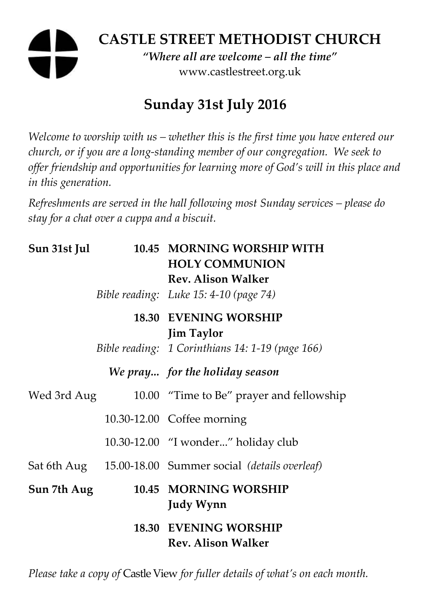# **CASTLE STREET METHODIST CHURCH**  *"Where all are welcome – all the time"*

www.castlestreet.org.uk

# **Sunday 31st July 2016**

*Welcome to worship with us – whether this is the first time you have entered our church, or if you are a long-standing member of our congregation. We seek to offer friendship and opportunities for learning more of God's will in this place and in this generation.* 

*Refreshments are served in the hall following most Sunday services – please do stay for a chat over a cuppa and a biscuit.* 

| Sun 31st Jul | 10.45 MORNING WORSHIP WITH<br><b>HOLY COMMUNION</b><br><b>Rev. Alison Walker</b><br>Bible reading: Luke 15: 4-10 (page 74) |
|--------------|----------------------------------------------------------------------------------------------------------------------------|
|              | <b>18.30 EVENING WORSHIP</b><br><b>Jim Taylor</b>                                                                          |
|              | Bible reading: 1 Corinthians 14: 1-19 (page 166)                                                                           |
|              | We pray for the holiday season                                                                                             |
| Wed 3rd Aug  | 10.00 "Time to Be" prayer and fellowship                                                                                   |
|              | 10.30-12.00 Coffee morning                                                                                                 |
|              | 10.30-12.00 "I wonder" holiday club                                                                                        |
|              | Sat 6th Aug 15.00-18.00 Summer social (details overleaf)                                                                   |
| Sun 7th Aug  | 10.45 MORNING WORSHIP<br><b>Judy Wynn</b>                                                                                  |
|              | <b>18.30 EVENING WORSHIP</b><br><b>Rev. Alison Walker</b>                                                                  |
|              |                                                                                                                            |

*Please take a copy of* Castle View *for fuller details of what's on each month.*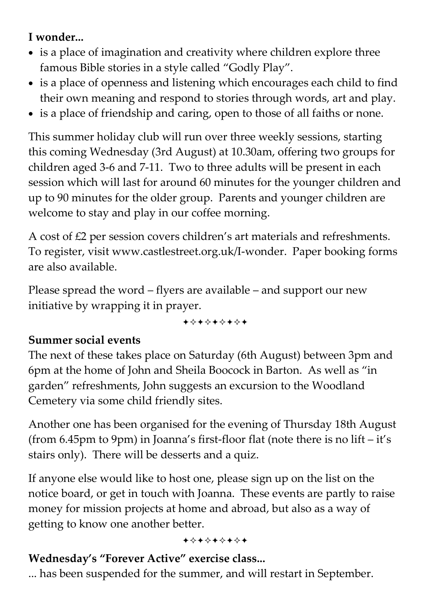# **I wonder...**

- is a place of imagination and creativity where children explore three famous Bible stories in a style called "Godly Play".
- is a place of openness and listening which encourages each child to find their own meaning and respond to stories through words, art and play.
- is a place of friendship and caring, open to those of all faiths or none.

This summer holiday club will run over three weekly sessions, starting this coming Wednesday (3rd August) at 10.30am, offering two groups for children aged 3-6 and 7-11. Two to three adults will be present in each session which will last for around 60 minutes for the younger children and up to 90 minutes for the older group. Parents and younger children are welcome to stay and play in our coffee morning.

A cost of £2 per session covers children's art materials and refreshments. To register, visit www.castlestreet.org.uk/I-wonder. Paper booking forms are also available.

Please spread the word – flyers are available – and support our new initiative by wrapping it in prayer.

+\*+\*\*\*\*+

#### **Summer social events**

The next of these takes place on Saturday (6th August) between 3pm and 6pm at the home of John and Sheila Boocock in Barton. As well as "in garden" refreshments, John suggests an excursion to the Woodland Cemetery via some child friendly sites.

Another one has been organised for the evening of Thursday 18th August (from 6.45pm to 9pm) in Joanna's first-floor flat (note there is no lift – it's stairs only). There will be desserts and a quiz.

If anyone else would like to host one, please sign up on the list on the notice board, or get in touch with Joanna. These events are partly to raise money for mission projects at home and abroad, but also as a way of getting to know one another better.

#### +\*+\*+\*+\*+

# **Wednesday's "Forever Active" exercise class...**

... has been suspended for the summer, and will restart in September.